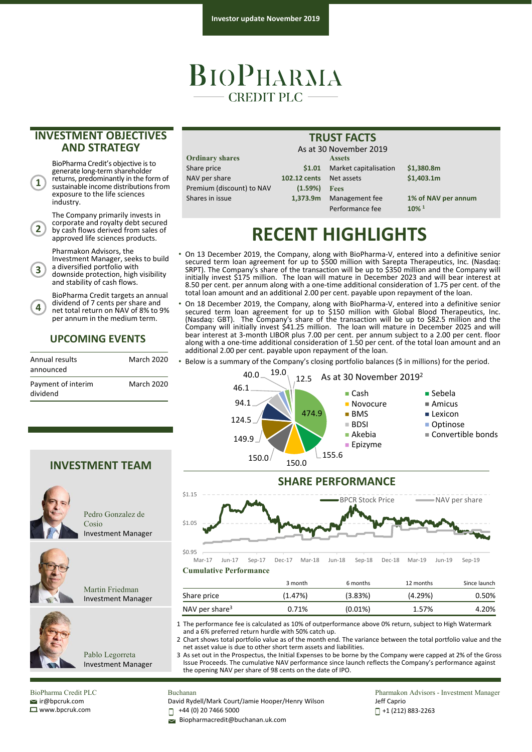## **BIOPHARMA**  $-$  CREDIT PLC  $-$

### **INVESTMENT OBJECTIVES AND STRATEGY**

BioPharma Credit's objective is to generate long-term shareholder returns, predominantly in the form of sustainable income distributions from exposure to the life sciences industry.

**1**

**2**

**4**

The Company primarily invests in corporate and royalty debt secured by cash flows derived from sales of approved life sciences products.

Pharmakon Advisors, the

Investment Manager, seeks to build a diversified portfolio with downside protection, high visibility **3**

and stability of cash flows.

BioPharma Credit targets an annual dividend of 7 cents per share and net total return on NAV of 8% to 9% per annum in the medium term.

#### **UPCOMING EVENTS**

| Annual results<br>announced    | <b>March 2020</b> |
|--------------------------------|-------------------|
| Payment of interim<br>dividend | March 2020        |

**INVESTMENT TEAM**

Cosio

Pedro Gonzalez de

Investment Manager

Martin Friedman Investment Manager

Pablo Legorreta Investment Manager

| <b>Assets</b>                                                                                 |
|-----------------------------------------------------------------------------------------------|
|                                                                                               |
|                                                                                               |
|                                                                                               |
|                                                                                               |
| , 1961 991 1991 9<br>\$1.01 Marke<br>102.12 cents Net as<br>$(1.59\%)$ Fees<br>1,373.9m Manag |

\$1.01 Market capitalisation \$1,380.8m NAV per share **102.12 cents** Net assets **\$1,403.1m** Premium (discount) to NAV **(1.59%) Fees** 1,373.9m Management fee 1% of NAV per annum Performance fee **10% 1** As at 30 November 2019

## **RECENT HIGHLIGHTS**

**TRUST FACTS**

- On 13 December 2019, the Company, along with BioPharma‐V, entered into a definitive senior secured term loan agreement for up to \$500 million with Sarepta Therapeutics, Inc. (Nasdaq: SRPT). The Company's share of the transaction will be up to \$350 million and the Company will initially invest \$175 million. The loan will mature in December 2023 and will bear interest at 8.50 per cent. per annum along with a one‐time additional consideration of 1.75 per cent. of the total loan amount and an additional 2.00 per cent. payable upon repayment of the loan.
- On 18 December 2019, the Company, along with BioPharma‐V, entered into a definitive senior secured term loan agreement for up to \$150 million with Global Blood Therapeutics, Inc. (Nasdaq: GBT). The Company's share of the transaction will be up to \$82.5 million and the Company will initially invest \$41.25 million. The loan will mature in December 2025 and will bear interest at 3-month LIBOR plus 7.00 per cent. per annum subject to a 2.00 per cent. floor along with a one‐time additional consideration of 1.50 per cent. of the total loan amount and an additional 2.00 per cent. payable upon repayment of the loan.
- Below is a summary of the Company's closing portfolio balances (\$ in millions) for the period.





**Cumulative Performance** Mar‐17 Jun‐17 Sep‐17 Dec‐17 Mar‐18 Jun‐18 Sep‐18 Dec‐18 Mar‐19 Jun‐19 Sep‐19

|                            | 3 month | 6 months   | 12 months | Since launch |
|----------------------------|---------|------------|-----------|--------------|
| Share price                | (1.47%) | (3.83%)    | (4.29%)   | 0.50%        |
| NAV per share <sup>3</sup> | 0.71%   | $(0.01\%)$ | 1.57%     | 4.20%        |

1 The performance fee is calculated as 10% of outperformance above 0% return, subject to High Watermark and a 6% preferred return hurdle with 50% catch up.

2 Chart shows total portfolio value as of the month end. The variance between the total portfolio value and the net asset value is due to other short term assets and liabilities.

3 As set out in the Prospectus, the Initial Expenses to be borne by the Company were capped at 2% of the Gross Issue Proceeds. The cumulative NAV performance since launch reflects the Company's performance against the opening NAV per share of 98 cents on the date of IPO.

BioPharma Credit PLC ir@bpcruk.com www.bpcruk.com

#### Buchanan

David Rydell/Mark Court/Jamie Hooper/Henry Wilson

+44 (0) 20 7466 5000 П

Biopharmacredit@buchanan.uk.com

Pharmakon Advisors - Investment Manager Jeff Caprio +1 (212) 883‐2263